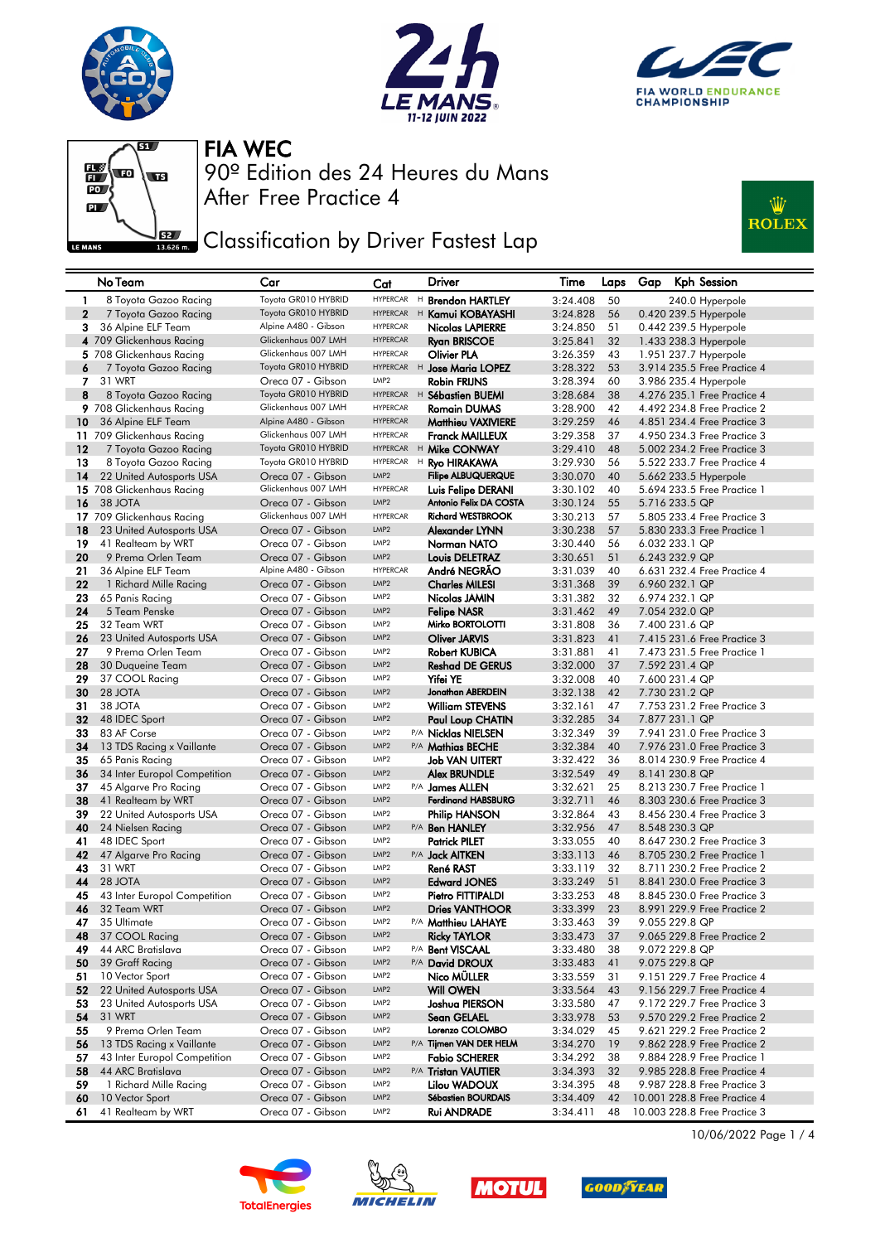







## **JEE** Classification by Driver Fastest Lap



|                | No Team                                  | Car                                      | Cat                                  | Driver                                             | Time                 | Laps     | Gap | <b>Kph Session</b>                                         |
|----------------|------------------------------------------|------------------------------------------|--------------------------------------|----------------------------------------------------|----------------------|----------|-----|------------------------------------------------------------|
| 1              | 8 Toyota Gazoo Racing                    | Toyota GR010 HYBRID                      | <b>HYPERCAR</b>                      | H Brendon HARTLEY                                  | 3:24.408             | 50       |     | 240.0 Hyperpole                                            |
| $\overline{2}$ | 7 Toyota Gazoo Racing                    | Toyota GR010 HYBRID                      | <b>HYPERCAR</b>                      | <sup>H</sup> Kamui KOBAYASHI                       | 3:24.828             | 56       |     | 0.420 239.5 Hyperpole                                      |
| 3              | 36 Alpine ELF Team                       | Alpine A480 - Gibson                     | <b>HYPERCAR</b>                      | Nicolas LAPIERRE                                   | 3:24.850             | 51       |     | 0.442 239.5 Hyperpole                                      |
|                | 4 709 Glickenhaus Racing                 | Glickenhaus 007 LMH                      | <b>HYPERCAR</b>                      | <b>Ryan BRISCOE</b>                                | 3:25.841             | 32       |     | 1.433 238.3 Hyperpole                                      |
|                | 5 708 Glickenhaus Racing                 | Glickenhaus 007 LMH                      | HYPERCAR                             | Olivier PLA                                        | 3:26.359             | 43       |     | 1.951 237.7 Hyperpole                                      |
| 6              | 7 Toyota Gazoo Racing                    | Toyota GR010 HYBRID                      |                                      | HYPERCAR H Jose Maria LOPEZ                        | 3:28.322             | 53       |     | 3.914 235.5 Free Practice 4                                |
| 7              | 31 WRT                                   | Oreca 07 - Gibson                        | LMP <sub>2</sub>                     | <b>Robin FRIJNS</b>                                | 3:28.394             | 60       |     | 3.986 235.4 Hyperpole                                      |
| 8              | 8 Toyota Gazoo Racing                    | Toyota GR010 HYBRID                      |                                      | HYPERCAR H Sébastien BUEMI                         | 3:28.684             | 38       |     | 4.276 235.1 Free Practice 4                                |
|                | 9 708 Glickenhaus Racing                 | Glickenhaus 007 LMH                      | HYPERCAR                             | <b>Romain DUMAS</b>                                | 3:28.900             | 42       |     | 4.492 234.8 Free Practice 2                                |
| 10             | 36 Alpine ELF Team                       | Alpine A480 - Gibson                     | <b>HYPERCAR</b>                      | Matthieu VAXIVIERE                                 | 3:29.259             | 46       |     | 4.851 234.4 Free Practice 3                                |
|                | 11 709 Glickenhaus Racing                | Glickenhaus 007 LMH                      | <b>HYPERCAR</b>                      | <b>Franck MAILLEUX</b>                             | 3:29.358             | 37       |     | 4.950 234.3 Free Practice 3                                |
| 12             | 7 Toyota Gazoo Racing                    | Toyota GR010 HYBRID                      |                                      | HYPERCAR H Mike CONWAY                             | 3:29.410             | 48       |     | 5.002 234.2 Free Practice 3                                |
| 13             | 8 Toyota Gazoo Racing                    | Toyota GR010 HYBRID                      |                                      | HYPERCAR H Ryo HIRAKAWA                            | 3:29.930             | 56       |     | 5.522 233.7 Free Practice 4                                |
| 14             | 22 United Autosports USA                 | Oreca 07 - Gibson                        | LMP <sub>2</sub>                     | <b>Filipe ALBUQUERQUE</b>                          | 3:30.070             | 40       |     | 5.662 233.5 Hyperpole                                      |
|                | 15 708 Glickenhaus Racing                | Glickenhaus 007 LMH                      | <b>HYPERCAR</b>                      | Luis Felipe DERANI                                 | 3:30.102             | 40       |     | 5.694 233.5 Free Practice 1                                |
| 16             | 38 JOTA                                  | Oreca 07 - Gibson<br>Glickenhaus 007 LMH | LMP <sub>2</sub><br><b>HYPERCAR</b>  | Antonio Felix DA COSTA<br><b>Richard WESTBROOK</b> | 3:30.124             | 55       |     | 5.716 233.5 QP                                             |
|                | 17 709 Glickenhaus Racing                |                                          | LMP <sub>2</sub>                     |                                                    | 3:30.213             | 57       |     | 5,805 233,4 Free Practice 3                                |
| 18             | 23 United Autosports USA                 | Oreca 07 - Gibson<br>Oreca 07 - Gibson   | LMP <sub>2</sub>                     | Alexander LYNN                                     | 3:30.238             | 57<br>56 |     | 5.830 233.3 Free Practice 1                                |
| 19<br>20       | 41 Realteam by WRT<br>9 Prema Orlen Team | Oreca 07 - Gibson                        | LMP <sub>2</sub>                     | Norman NATO<br>Louis DELETRAZ                      | 3:30.440<br>3:30.651 | 51       |     | 6.032 233.1 QP<br>6.243 232.9 QP                           |
| 21             | 36 Alpine ELF Team                       | Alpine A480 - Gibson                     | <b>HYPERCAR</b>                      | André NEGRÃO                                       | 3:31.039             | 40       |     | 6.631 232.4 Free Practice 4                                |
| 22             | 1 Richard Mille Racing                   | Oreca 07 - Gibson                        | LMP <sub>2</sub>                     | <b>Charles MILESI</b>                              | 3:31.368             | 39       |     | 6.960 232.1 QP                                             |
| 23             | 65 Panis Racing                          | Oreca 07 - Gibson                        | LMP <sub>2</sub>                     | Nicolas JAMIN                                      | 3:31.382             | 32       |     | 6.974 232.1 QP                                             |
| 24             | 5 Team Penske                            | Oreca 07 - Gibson                        | LMP <sub>2</sub>                     | <b>Felipe NASR</b>                                 | 3:31.462             | 49       |     | 7.054 232.0 QP                                             |
| 25             | 32 Team WRT                              | Oreca 07 - Gibson                        | LMP <sub>2</sub>                     | Mirko BORTOLOTTI                                   | 3:31.808             | 36       |     | 7.400 231.6 QP                                             |
| 26             | 23 United Autosports USA                 | Oreca 07 - Gibson                        | LMP <sub>2</sub>                     | <b>Oliver JARVIS</b>                               | 3:31.823             | 41       |     | 7.415 231.6 Free Practice 3                                |
| 27             | 9 Prema Orlen Team                       | Oreca 07 - Gibson                        | LMP <sub>2</sub>                     | <b>Robert KUBICA</b>                               | 3:31.881             | 41       |     | 7.473 231.5 Free Practice 1                                |
| 28             | 30 Duqueine Team                         | Oreca 07 - Gibson                        | LMP <sub>2</sub>                     | <b>Reshad DE GERUS</b>                             | 3:32.000             | 37       |     | 7.592 231.4 QP                                             |
| 29             | 37 COOL Racing                           | Oreca 07 - Gibson                        | LMP <sub>2</sub>                     | Yifei YE                                           | 3:32.008             | 40       |     | 7.600 231.4 QP                                             |
| 30             | 28 JOTA                                  | Oreca 07 - Gibson                        | LMP <sub>2</sub>                     | Jonathan ABERDEIN                                  | 3:32.138             | 42       |     | 7.730 231.2 QP                                             |
| 31             | 38 JOTA                                  | Oreca 07 - Gibson                        | LMP <sub>2</sub>                     | <b>William STEVENS</b>                             | 3:32.161             | 47       |     | 7.753 231.2 Free Practice 3                                |
| 32             | 48 IDEC Sport                            | Oreca 07 - Gibson                        | LMP <sub>2</sub>                     | Paul Loup CHATIN                                   | 3:32.285             | 34       |     | 7.877 231.1 QP                                             |
| 33             | 83 AF Corse                              | Oreca 07 - Gibson                        | LMP <sub>2</sub>                     | P/A Nicklas NIELSEN                                | 3:32.349             | 39       |     | 7.941 231.0 Free Practice 3                                |
| 34             | 13 TDS Racing x Vaillante                | Oreca 07 - Gibson                        | LMP <sub>2</sub>                     | P/A Mathias BECHE                                  | 3:32.384             | 40       |     | 7.976 231.0 Free Practice 3                                |
| 35             | 65 Panis Racing                          | Oreca 07 - Gibson                        | LMP <sub>2</sub>                     | Job VAN UITERT                                     | 3:32.422             | 36       |     | 8.014 230.9 Free Practice 4                                |
| 36             | 34 Inter Europol Competition             | Oreca 07 - Gibson                        | LMP <sub>2</sub>                     | <b>Alex BRUNDLE</b>                                | 3:32.549             | 49       |     | 8.141 230.8 QP                                             |
| 37             | 45 Algarve Pro Racing                    | Oreca 07 - Gibson                        | LMP <sub>2</sub>                     | P/A James ALLEN                                    | 3:32.621             | 25       |     | 8.213 230.7 Free Practice 1                                |
| 38             | 41 Realteam by WRT                       | Oreca 07 - Gibson                        | LMP <sub>2</sub>                     | Ferdinand HABSBURG                                 | 3:32.711             | 46       |     | 8.303 230.6 Free Practice 3                                |
| 39             | 22 United Autosports USA                 | Oreca 07 - Gibson                        | LMP <sub>2</sub>                     | Philip HANSON                                      | 3:32.864             | 43       |     | 8.456 230.4 Free Practice 3                                |
| 40             | 24 Nielsen Racing                        | Oreca 07 - Gibson                        | LMP <sub>2</sub>                     | P/A Ben HANLEY                                     | 3:32.956             | 47       |     | 8.548 230.3 QP                                             |
| 41             | 48 IDEC Sport                            | Oreca 07 - Gibson                        | LMP <sub>2</sub><br>LMP <sub>2</sub> | <b>Patrick PILET</b>                               | 3:33.055             | 40       |     | 8.647 230.2 Free Practice 3                                |
| 42<br>43       | 47 Algarve Pro Racing<br>31 WRT          | Oreca 07 - Gibson<br>Oreca 07 - Gibson   | LMP <sub>2</sub>                     | P/A <b>Jack AITKEN</b><br>René RAST                | 3:33.113<br>3:33.119 | 46<br>32 |     | 8.705 230.2 Free Practice 1<br>8.711 230.2 Free Practice 2 |
| 44             | 28 JOTA                                  | Oreca 07 - Gibson                        | LMP <sub>2</sub>                     | <b>Edward JONES</b>                                | 3:33.249             | 51       |     | 8.841 230.0 Free Practice 3                                |
| 45             | 43 Inter Europol Competition             | Oreca 07 - Gibson                        | LMP <sub>2</sub>                     | Pietro FITTIPALDI                                  | 3:33.253             | 48       |     | 8.845 230.0 Free Practice 3                                |
| 46             | 32 Team WRT                              | Oreca 07 - Gibson                        | LMP <sub>2</sub>                     | <b>Dries VANTHOOR</b>                              | 3:33.399             | 23       |     | 8.991 229.9 Free Practice 2                                |
| 47             | 35 Ultimate                              | Oreca 07 - Gibson                        | LMP <sub>2</sub>                     | P/A Matthieu LAHAYE                                | 3:33.463             | 39       |     | 9.055 229.8 QP                                             |
| 48             | 37 COOL Racing                           | Oreca 07 - Gibson                        | LMP <sub>2</sub>                     | <b>Ricky TAYLOR</b>                                | 3:33.473             | 37       |     | 9.065 229.8 Free Practice 2                                |
| 49             | 44 ARC Bratislava                        | Oreca 07 - Gibson                        | LMP <sub>2</sub>                     | P/A Bent VISCAAL                                   | 3:33.480             | 38       |     | 9.072 229.8 QP                                             |
| 50             | 39 Graff Racing                          | Oreca 07 - Gibson                        | LMP <sub>2</sub>                     | P/A David DROUX                                    | 3:33.483             | 41       |     | 9.075 229.8 QP                                             |
| 51             | 10 Vector Sport                          | Oreca 07 - Gibson                        | LMP2                                 | Nico MÜLLER                                        | 3:33.559             | 31       |     | 9.151 229.7 Free Practice 4                                |
| 52             | 22 United Autosports USA                 | Oreca 07 - Gibson                        | LMP2                                 | <b>Will OWEN</b>                                   | 3:33.564             | 43       |     | 9.156 229.7 Free Practice 4                                |
| 53             | 23 United Autosports USA                 | Oreca 07 - Gibson                        | LMP2                                 | Joshua PIERSON                                     | 3:33.580             | 47       |     | 9.172 229.7 Free Practice 3                                |
| 54             | 31 WRT                                   | Oreca 07 - Gibson                        | LMP2                                 | Sean GELAEL                                        | 3:33.978             | 53       |     | 9.570 229.2 Free Practice 2                                |
| 55             | 9 Prema Orlen Team                       | Oreca 07 - Gibson                        | LMP <sub>2</sub>                     | Lorenzo COLOMBO                                    | 3:34.029             | 45       |     | 9.621 229.2 Free Practice 2                                |
| 56             | 13 TDS Racing x Vaillante                | Oreca 07 - Gibson                        | LMP <sub>2</sub>                     | P/A Tijmen VAN DER HELM                            | 3:34.270             | 19       |     | 9.862 228.9 Free Practice 2                                |
| 57             | 43 Inter Europol Competition             | Oreca 07 - Gibson                        | LMP <sub>2</sub>                     | <b>Fabio SCHERER</b>                               | 3:34.292             | 38       |     | 9.884 228.9 Free Practice 1                                |
| 58             | 44 ARC Bratislava                        | Oreca 07 - Gibson                        | LMP <sub>2</sub>                     | P/A Tristan VAUTIER                                | 3:34.393             | 32       |     | 9.985 228.8 Free Practice 4                                |
| 59             | 1 Richard Mille Racing                   | Oreca 07 - Gibson                        | LMP <sub>2</sub>                     | Lilou WADOUX                                       | 3:34.395             | 48       |     | 9.987 228.8 Free Practice 3                                |
| 60             | 10 Vector Sport                          | Oreca 07 - Gibson                        | LMP2                                 | Sébastien BOURDAIS                                 | 3:34.409             | 42       |     | 10.001 228.8 Free Practice 4                               |
| 61             | 41 Realteam by WRT                       | Oreca 07 - Gibson                        | LMP2                                 | <b>Rui ANDRADE</b>                                 | 3:34.411             | 48       |     | 10.003 228.8 Free Practice 3                               |







![](_page_0_Picture_11.jpeg)

10/06/2022 Page 1 / 4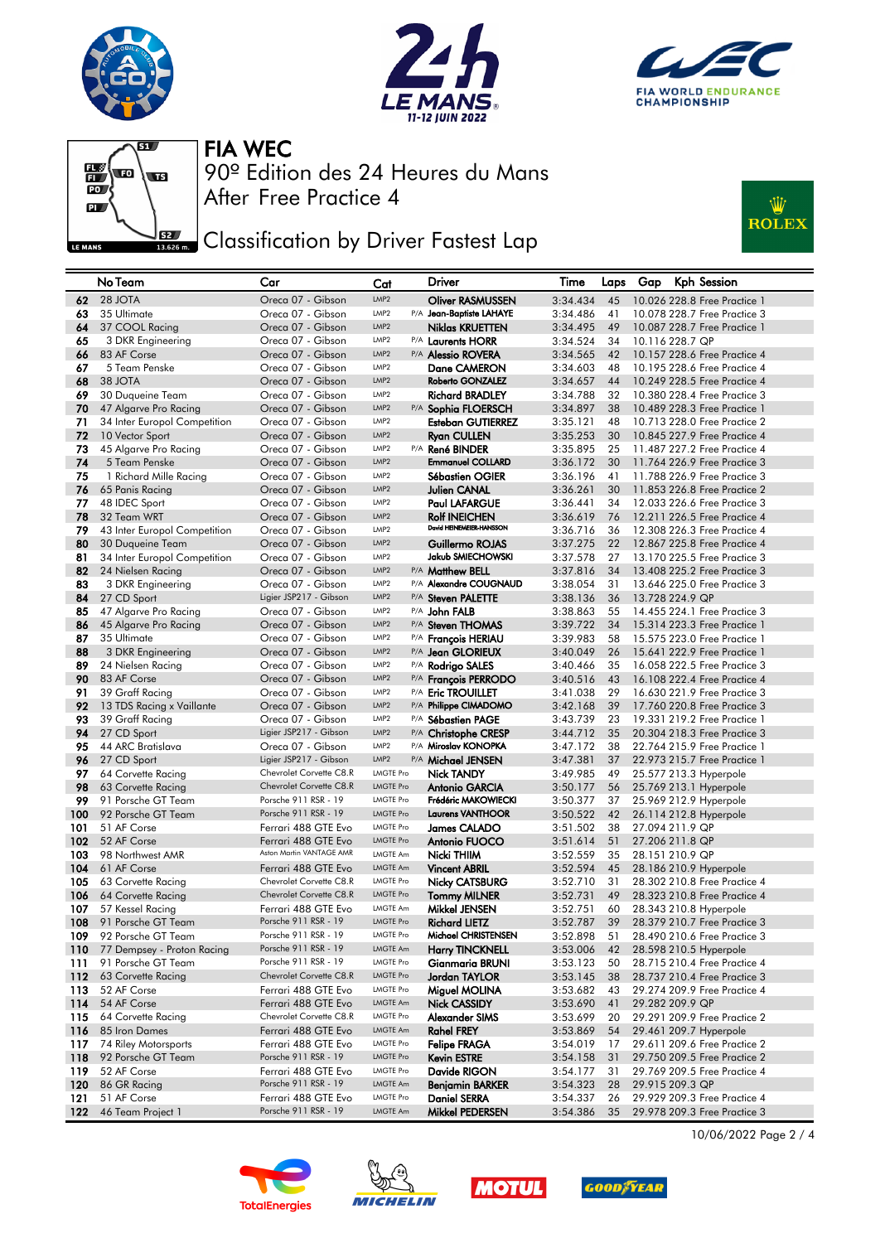![](_page_1_Picture_0.jpeg)

![](_page_1_Picture_1.jpeg)

![](_page_1_Picture_2.jpeg)

![](_page_1_Figure_3.jpeg)

**JEEF** Classification by Driver Fastest Lap

![](_page_1_Picture_6.jpeg)

|            | No Team                                          | Car                                             | Cat                                  | Driver                                           | Time                 | Laps     | Kph Session<br>Gap                                           |
|------------|--------------------------------------------------|-------------------------------------------------|--------------------------------------|--------------------------------------------------|----------------------|----------|--------------------------------------------------------------|
| 62         | 28 JOTA                                          | Oreca 07 - Gibson                               | LMP <sub>2</sub>                     | <b>Oliver RASMUSSEN</b>                          | 3:34.434             | 45       | 10.026 228.8 Free Practice 1                                 |
| 63         | 35 Ultimate                                      | Oreca 07 - Gibson                               | LMP <sub>2</sub>                     | P/A Jean-Baptiste LAHAYE                         | 3:34.486             | 41       | 10.078 228.7 Free Practice 3                                 |
| 64         | 37 COOL Racing                                   | Oreca 07 - Gibson                               | LMP <sub>2</sub>                     | Niklas KRUETTEN                                  | 3:34.495             | 49       | 10.087 228.7 Free Practice 1                                 |
| 65         | 3 DKR Engineering                                | Oreca 07 - Gibson                               | LMP <sub>2</sub>                     | P/A Laurents HORR                                | 3:34.524             | 34       | 10.116 228.7 QP                                              |
| 66         | 83 AF Corse                                      | Oreca 07 - Gibson                               | LMP <sub>2</sub>                     | P/A Alessio ROVERA                               | 3:34.565             | 42       | 10.157 228.6 Free Practice 4                                 |
| 67         | 5 Team Penske                                    | Oreca 07 - Gibson                               | LMP <sub>2</sub>                     | Dane CAMERON                                     | 3:34.603             | 48       | 10.195 228.6 Free Practice 4                                 |
| 68         | 38 JOTA                                          | Oreca 07 - Gibson                               | LMP <sub>2</sub>                     | Roberto GONZALEZ                                 | 3:34.657             | 44       | 10.249 228.5 Free Practice 4                                 |
| 69         | 30 Duqueine Team                                 | Oreca 07 - Gibson                               | LMP <sub>2</sub>                     | <b>Richard BRADLEY</b>                           | 3:34.788             | 32       | 10.380 228.4 Free Practice 3                                 |
| 70         | 47 Algarve Pro Racing                            | Oreca 07 - Gibson                               | LMP <sub>2</sub>                     | P/A Sophia FLOERSCH                              | 3:34.897             | 38       | 10.489 228.3 Free Practice 1                                 |
| 71         | 34 Inter Europol Competition                     | Oreca 07 - Gibson                               | LMP <sub>2</sub>                     | Esteban GUTIERREZ                                | 3:35.121             | 48       | 10.713 228.0 Free Practice 2                                 |
| 72         | 10 Vector Sport                                  | Oreca 07 - Gibson                               | LMP <sub>2</sub>                     | <b>Ryan CULLEN</b>                               | 3:35.253             | 30       | 10.845 227.9 Free Practice 4                                 |
| 73         | 45 Algarve Pro Racing                            | Oreca 07 - Gibson                               | LMP <sub>2</sub>                     | P/A René BINDER                                  | 3:35.895             | 25       | 11,487 227,2 Free Practice 4                                 |
| 74         | 5 Team Penske                                    | Oreca 07 - Gibson                               | LMP <sub>2</sub>                     | <b>Emmanuel COLLARD</b>                          | 3:36.172             | 30       | 11.764 226.9 Free Practice 3                                 |
| 75         | 1 Richard Mille Racing                           | Oreca 07 - Gibson                               | LMP <sub>2</sub>                     | <b>Sébastien OGIER</b>                           | 3:36.196             | 41       | 11,788 226.9 Free Practice 3                                 |
| 76         | 65 Panis Racing                                  | Oreca 07 - Gibson                               | LMP <sub>2</sub>                     | Julien CANAL                                     | 3:36.261             | 30       | 11.853 226.8 Free Practice 2                                 |
| 77         | 48 IDEC Sport                                    | Oreca 07 - Gibson                               | LMP <sub>2</sub><br>LMP <sub>2</sub> | <b>Paul LAFARGUE</b>                             | 3:36.441             | 34       | 12,033 226.6 Free Practice 3                                 |
| 78         | 32 Team WRT                                      | Oreca 07 - Gibson<br>Oreca 07 - Gibson          | LMP <sub>2</sub>                     | <b>Rolf INEICHEN</b><br>David HEINEMEIER-HANSSON | 3:36.619             | 76<br>36 | 12.211 226.5 Free Practice 4<br>12,308 226,3 Free Practice 4 |
| 79<br>80   | 43 Inter Europol Competition<br>30 Duqueine Team | Oreca 07 - Gibson                               | LMP <sub>2</sub>                     | Guillermo ROJAS                                  | 3:36.716<br>3:37.275 | 22       | 12.867 225.8 Free Practice 4                                 |
| 81         | 34 Inter Europol Competition                     | Oreca 07 - Gibson                               | LMP <sub>2</sub>                     | Jakub SMIECHOWSKI                                | 3:37.578             | 27       | 13.170 225.5 Free Practice 3                                 |
| 82         | 24 Nielsen Racing                                | Oreca 07 - Gibson                               | LMP <sub>2</sub>                     | P/A Matthew BELL                                 | 3:37.816             | 34       | 13.408 225.2 Free Practice 3                                 |
| 83         | 3 DKR Engineering                                | Oreca 07 - Gibson                               | LMP <sub>2</sub>                     | P/A Alexandre COUGNAUD                           | 3:38.054             | 31       | 13.646 225.0 Free Practice 3                                 |
| 84         | 27 CD Sport                                      | Ligier JSP217 - Gibson                          | LMP <sub>2</sub>                     | P/A Steven PALETTE                               | 3:38.136             | 36       | 13.728 224.9 QP                                              |
| 85         | 47 Algarve Pro Racing                            | Oreca 07 - Gibson                               | LMP <sub>2</sub>                     | P/A John FALB                                    | 3:38.863             | 55       | 14,455 224,1 Free Practice 3                                 |
| 86         | 45 Algarve Pro Racing                            | Oreca 07 - Gibson                               | LMP <sub>2</sub>                     | P/A Steven THOMAS                                | 3:39.722             | 34       | 15.314 223.3 Free Practice 1                                 |
| 87         | 35 Ultimate                                      | Oreca 07 - Gibson                               | LMP <sub>2</sub>                     | P/A Francois HERIAU                              | 3:39.983             | 58       | 15.575 223.0 Free Practice 1                                 |
| 88         | 3 DKR Engineering                                | Oreca 07 - Gibson                               | LMP <sub>2</sub>                     | P/A Jean GLORIEUX                                | 3:40.049             | 26       | 15.641 222.9 Free Practice 1                                 |
| 89         | 24 Nielsen Racing                                | Oreca 07 - Gibson                               | LMP <sub>2</sub>                     | P/A Rodrigo SALES                                | 3:40.466             | 35       | 16.058 222.5 Free Practice 3                                 |
| 90         | 83 AF Corse                                      | Oreca 07 - Gibson                               | LMP <sub>2</sub>                     | P/A François PERRODO                             | 3:40.516             | 43       | 16.108 222.4 Free Practice 4                                 |
| 91         | 39 Graff Racing                                  | Oreca 07 - Gibson                               | LMP <sub>2</sub>                     | P/A Eric TROUILLET                               | 3:41.038             | 29       | 16.630 221.9 Free Practice 3                                 |
| 92         | 13 TDS Racing x Vaillante                        | Oreca 07 - Gibson                               | LMP <sub>2</sub>                     | P/A Philippe CIMADOMO                            | 3:42.168             | 39       | 17.760 220.8 Free Practice 3                                 |
| 93         | 39 Graff Racing                                  | Oreca 07 - Gibson                               | LMP <sub>2</sub>                     | P/A Sébastien PAGE                               | 3:43.739             | 23       | 19.331 219.2 Free Practice 1                                 |
| 94         | 27 CD Sport                                      | Ligier JSP217 - Gibson                          | LMP <sub>2</sub>                     | P/A Christophe CRESP                             | 3:44.712             | 35       | 20,304 218,3 Free Practice 3                                 |
| 95         | 44 ARC Bratislava                                | Oreca 07 - Gibson                               | LMP <sub>2</sub>                     | P/A Miroslav KONOPKA                             | 3:47.172             | 38       | 22.764 215.9 Free Practice 1                                 |
| 96         | 27 CD Sport                                      | Ligier JSP217 - Gibson                          | LMP <sub>2</sub>                     | P/A Michael JENSEN                               | 3:47.381             | 37       | 22.973 215.7 Free Practice 1                                 |
| 97         | 64 Corvette Racing                               | Chevrolet Corvette C8.R                         | <b>LMGTE Pro</b>                     | <b>Nick TANDY</b>                                | 3:49.985             | 49       | 25.577 213.3 Hyperpole                                       |
| 98         | 63 Corvette Racing                               | Chevrolet Corvette C8.R                         | <b>LMGTE Pro</b>                     | <b>Antonio GARCIA</b>                            | 3:50.177             | 56       | 25.769 213.1 Hyperpole                                       |
| 99         | 91 Porsche GT Team                               | Porsche 911 RSR - 19                            | <b>LMGTE Pro</b>                     | Frédéric MAKOWIECKI                              | 3:50.377             | 37       | 25.969 212.9 Hyperpole                                       |
| 100        | 92 Porsche GT Team                               | Porsche 911 RSR - 19                            | <b>LMGTE Pro</b>                     | <b>Laurens VANTHOOR</b>                          | 3:50.522             | 42       | 26.114 212.8 Hyperpole                                       |
| 101        | 51 AF Corse                                      | Ferrari 488 GTE Evo                             | <b>LMGTE Pro</b>                     | <b>James CALADO</b>                              | 3:51.502             | 38       | 27.094 211.9 QP                                              |
| 102        | 52 AF Corse                                      | Ferrari 488 GTE Evo<br>Aston Martin VANTAGE AMR | <b>LMGTE Pro</b><br>LMGTE Am         | <b>Antonio FUOCO</b>                             | 3:51.614             | 51       | 27.206 211.8 QP                                              |
| 103<br>104 | 98 Northwest AMR<br>61 AF Corse                  |                                                 | <b>LMGTE Am</b>                      | Nicki THIIM                                      | 3:52.559             | 35<br>45 | 28.151 210.9 QP                                              |
| 105        | 63 Corvette Racing                               | Ferrari 488 GTE Evo<br>Chevrolet Corvette C8.R  | <b>LMGTE Pro</b>                     | <b>Vincent ABRIL</b><br><b>Nicky CATSBURG</b>    | 3:52.594<br>3:52.710 | 31       | 28.186 210.9 Hyperpole<br>28,302 210.8 Free Practice 4       |
| 106        | 64 Corvette Racing                               | Chevrolet Corvette C8.R                         | <b>LMGTE Pro</b>                     | <b>Tommy MILNER</b>                              | 3:52.731             | 49       | 28.323 210.8 Free Practice 4                                 |
| 107        | 57 Kessel Racing                                 | Ferrari 488 GTE Evo                             | LMGTE Am                             | Mikkel JENSEN                                    | 3:52.751             | 60       | 28.343 210.8 Hyperpole                                       |
| 108        | 91 Porsche GT Team                               | Porsche 911 RSR - 19                            | <b>LMGTE Pro</b>                     | <b>Richard LIETZ</b>                             | 3:52.787             | 39       | 28.379 210.7 Free Practice 3                                 |
| 109        | 92 Porsche GT Team                               | Porsche 911 RSR - 19                            | <b>LMGTE Pro</b>                     | Michael CHRISTENSEN                              | 3:52.898             | 51       | 28.490 210.6 Free Practice 3                                 |
| 110        | 77 Dempsey - Proton Racing                       | Porsche 911 RSR - 19                            | <b>LMGTE Am</b>                      | Harry TINCKNELL                                  | 3:53.006             | 42       | 28.598 210.5 Hyperpole                                       |
| 111        | 91 Porsche GT Team                               | Porsche 911 RSR - 19                            | <b>LMGTE Pro</b>                     | Gianmaria BRUNI                                  | 3:53.123             | 50       | 28.715 210.4 Free Practice 4                                 |
| 112        | 63 Corvette Racing                               | Chevrolet Corvette C8.R                         | <b>LMGTE Pro</b>                     | Jordan TAYLOR                                    | 3:53.145             | 38       | 28.737 210.4 Free Practice 3                                 |
| 113        | 52 AF Corse                                      | Ferrari 488 GTE Evo                             | <b>LMGTE Pro</b>                     | Miguel MOLINA                                    | 3:53.682             | 43       | 29.274 209.9 Free Practice 4                                 |
| 114        | 54 AF Corse                                      | Ferrari 488 GTE Evo                             | LMGTE Am                             | <b>Nick CASSIDY</b>                              | 3:53.690             | 41       | 29.282 209.9 QP                                              |
| 115        | 64 Corvette Racing                               | Chevrolet Corvette C8.R                         | <b>LMGTE Pro</b>                     | Alexander SIMS                                   | 3:53.699             | 20       | 29.291 209.9 Free Practice 2                                 |
| 116        | 85 Iron Dames                                    | Ferrari 488 GTE Evo                             | LMGTE Am                             | <b>Rahel FREY</b>                                | 3:53.869             | 54       | 29.461 209.7 Hyperpole                                       |
| 117        | 74 Riley Motorsports                             | Ferrari 488 GTE Evo                             | <b>LMGTE Pro</b>                     | <b>Felipe FRAGA</b>                              | 3:54.019             | 17       | 29.611 209.6 Free Practice 2                                 |
| 118        | 92 Porsche GT Team                               | Porsche 911 RSR - 19                            | <b>LMGTE Pro</b>                     | Kevin ESTRE                                      | 3:54.158             | 31       | 29.750 209.5 Free Practice 2                                 |
| 119        | 52 AF Corse                                      | Ferrari 488 GTE Evo                             | <b>LMGTE Pro</b>                     | Davide RIGON                                     | 3:54.177             | 31       | 29.769 209.5 Free Practice 4                                 |
| 120        | 86 GR Racing                                     | Porsche 911 RSR - 19                            | LMGTE Am                             | Benjamin BARKER                                  | 3:54.323             | 28       | 29.915 209.3 QP                                              |
| 121        | 51 AF Corse                                      | Ferrari 488 GTE Evo                             | <b>LMGTE Pro</b>                     | <b>Daniel SERRA</b>                              | 3:54.337             | 26       | 29.929 209.3 Free Practice 4                                 |
| 122        | 46 Team Project 1                                | Porsche 911 RSR - 19                            | <b>LMGTE Am</b>                      | Mikkel PEDERSEN                                  | 3:54.386             | 35       | 29.978 209.3 Free Practice 3                                 |

![](_page_1_Picture_8.jpeg)

![](_page_1_Picture_9.jpeg)

![](_page_1_Picture_10.jpeg)

![](_page_1_Picture_11.jpeg)

10/06/2022 Page 2 / 4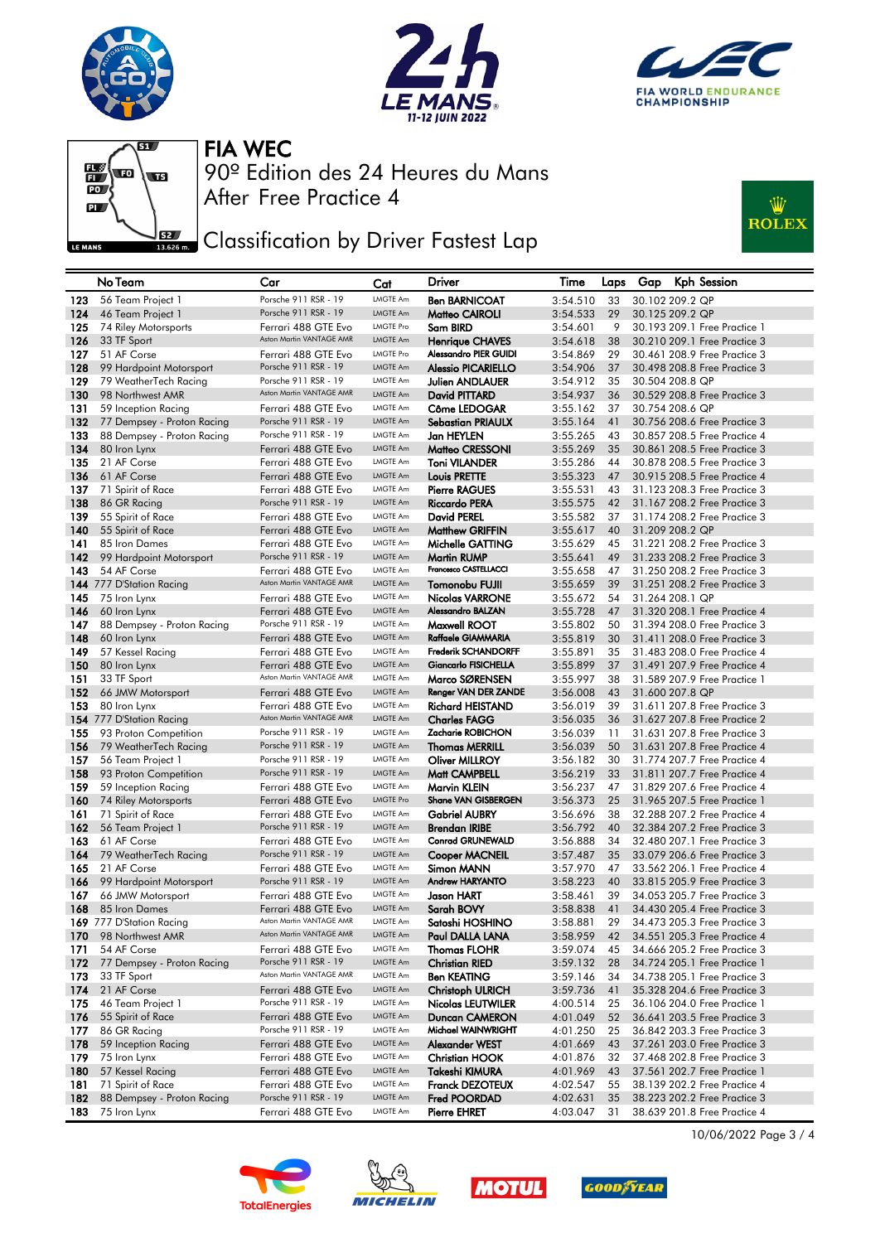![](_page_2_Picture_0.jpeg)

![](_page_2_Picture_1.jpeg)

![](_page_2_Picture_2.jpeg)

![](_page_2_Figure_3.jpeg)

## **JEEF** Classification by Driver Fastest Lap

![](_page_2_Picture_6.jpeg)

|            | No Team                                | Car                                         | Cat                          | Driver                                      | Time                 | Laps     | Gap | Kph Session                                                  |
|------------|----------------------------------------|---------------------------------------------|------------------------------|---------------------------------------------|----------------------|----------|-----|--------------------------------------------------------------|
| 123        | 56 Team Project 1                      | Porsche 911 RSR - 19                        | LMGTE Am                     | <b>Ben BARNICOAT</b>                        | 3:54.510             | 33       |     | 30.102 209.2 QP                                              |
| 124        | 46 Team Project 1                      | Porsche 911 RSR - 19                        | LMGTE Am                     | Matteo CAIROLI                              | 3:54.533             | 29       |     | 30.125 209.2 QP                                              |
| 125        | 74 Riley Motorsports                   | Ferrari 488 GTE Evo                         | <b>LMGTE Pro</b>             | Sam BIRD                                    | 3:54.601             | 9        |     | 30.193 209.1 Free Practice 1                                 |
| 126        | 33 TF Sport                            | Aston Martin VANTAGE AMR                    | LMGTE Am                     | <b>Henrique CHAVES</b>                      | 3:54.618             | 38       |     | 30.210 209.1 Free Practice 3                                 |
| 127        | 51 AF Corse                            | Ferrari 488 GTE Evo                         | <b>LMGTE Pro</b>             | Alessandro PIER GUIDI                       | 3:54.869             | 29       |     | 30.461 208.9 Free Practice 3                                 |
| 128        | 99 Hardpoint Motorsport                | Porsche 911 RSR - 19                        | LMGTE Am                     | <b>Alessio PICARIELLO</b>                   | 3:54.906             | 37       |     | 30.498 208.8 Free Practice 3                                 |
| 129        | 79 WeatherTech Racing                  | Porsche 911 RSR - 19                        | LMGTE Am                     | <b>Julien ANDLAUER</b>                      | 3:54.912             | 35       |     | 30.504 208.8 QP                                              |
| 130        | 98 Northwest AMR                       | Aston Martin VANTAGE AMR                    | LMGTE Am                     | David PITTARD                               | 3:54.937             | 36       |     | 30.529 208.8 Free Practice 3                                 |
| 131        | 59 Inception Racing                    | Ferrari 488 GTE Evo                         | LMGTE Am                     | Côme LEDOGAR                                | 3:55.162             | 37       |     | 30.754 208.6 QP                                              |
| 132        | 77 Dempsey - Proton Racing             | Porsche 911 RSR - 19                        | LMGTE Am                     | <b>Sebastian PRIAULX</b>                    | 3:55.164             | 41       |     | 30.756 208.6 Free Practice 3                                 |
| 133        | 88 Dempsey - Proton Racing             | Porsche 911 RSR - 19                        | LMGTE Am                     | <b>Jan HEYLEN</b>                           | 3:55.265             | 43       |     | 30.857 208.5 Free Practice 4                                 |
| 134        | 80 Iron Lynx                           | Ferrari 488 GTE Evo                         | <b>LMGTE Am</b>              | Matteo CRESSONI                             | 3:55.269             | 35       |     | 30.861 208.5 Free Practice 3                                 |
| 135        | 21 AF Corse                            | Ferrari 488 GTE Evo                         | <b>LMGTE Am</b><br>LMGTE Am  | <b>Toni VILANDER</b><br><b>Louis PRETTE</b> | 3:55.286<br>3:55.323 | 44       |     | 30.878 208.5 Free Practice 3                                 |
| 136<br>137 | 61 AF Corse<br>71 Spirit of Race       | Ferrari 488 GTE Evo<br>Ferrari 488 GTE Evo  | LMGTE Am                     | <b>Pierre RAGUES</b>                        |                      | 47<br>43 |     | 30.915 208.5 Free Practice 4<br>31.123 208.3 Free Practice 3 |
| 138        | 86 GR Racing                           | Porsche 911 RSR - 19                        | LMGTE Am                     | <b>Riccardo PERA</b>                        | 3:55.531<br>3:55.575 | 42       |     | 31.167 208.2 Free Practice 3                                 |
| 139        | 55 Spirit of Race                      | Ferrari 488 GTE Evo                         | LMGTE Am                     | David PEREL                                 | 3:55.582             | 37       |     | 31.174 208.2 Free Practice 3                                 |
| 140        | 55 Spirit of Race                      | Ferrari 488 GTE Evo                         | LMGTE Am                     | <b>Matthew GRIFFIN</b>                      | 3:55.617             | 40       |     | 31.209 208.2 QP                                              |
| 141        | 85 Iron Dames                          | Ferrari 488 GTE Evo                         | LMGTE Am                     | Michelle GATTING                            | 3:55.629             | 45       |     | 31,221 208.2 Free Practice 3                                 |
| 142        | 99 Hardpoint Motorsport                | Porsche 911 RSR - 19                        | LMGTE Am                     | Martin RUMP                                 | 3:55.641             | 49       |     | 31.233 208.2 Free Practice 3                                 |
| 143        | 54 AF Corse                            | Ferrari 488 GTE Evo                         | LMGTE Am                     | Francesco CASTELLACCI                       | 3:55.658             | 47       |     | 31,250 208,2 Free Practice 3                                 |
|            | 144 777 D'Station Racing               | Aston Martin VANTAGE AMR                    | LMGTE Am                     | Tomonobu FUJII                              | 3:55.659             | 39       |     | 31.251 208.2 Free Practice 3                                 |
| 145        | 75 Iron Lynx                           | Ferrari 488 GTE Evo                         | LMGTE Am                     | Nicolas VARRONE                             | 3:55.672             | 54       |     | 31.264 208.1 QP                                              |
| 146        | 60 Iron Lynx                           | Ferrari 488 GTE Evo                         | LMGTE Am                     | Alessandro BALZAN                           | 3:55.728             | 47       |     | 31.320 208.1 Free Practice 4                                 |
| 147        | 88 Dempsey - Proton Racing             | Porsche 911 RSR - 19                        | LMGTE Am                     | Maxwell ROOT                                | 3:55.802             | 50       |     | 31.394 208.0 Free Practice 3                                 |
| 148        | 60 Iron Lynx                           | Ferrari 488 GTE Evo                         | LMGTE Am                     | Raffaele GIAMMARIA                          | 3:55.819             | 30       |     | 31.411 208.0 Free Practice 3                                 |
| 149        | 57 Kessel Racing                       | Ferrari 488 GTE Evo                         | LMGTE Am                     | <b>Frederik SCHANDORFF</b>                  | 3:55.891             | 35       |     | 31.483 208.0 Free Practice 4                                 |
| 150        | 80 Iron Lynx                           | Ferrari 488 GTE Evo                         | LMGTE Am                     | <b>Giancarlo FISICHELLA</b>                 | 3:55.899             | 37       |     | 31.491 207.9 Free Practice 4                                 |
| 151        | 33 TF Sport                            | Aston Martin VANTAGE AMR                    | <b>LMGTE Am</b>              | Marco SØRENSEN                              | 3:55.997             | 38       |     | 31,589 207,9 Free Practice 1                                 |
| 152        | 66 JMW Motorsport                      | Ferrari 488 GTE Evo                         | LMGTE Am                     | Renger VAN DER ZANDE                        | 3:56.008             | 43       |     | 31.600 207.8 QP                                              |
| 153        | 80 Iron Lynx                           | Ferrari 488 GTE Evo                         | LMGTE Am                     | <b>Richard HEISTAND</b>                     | 3:56.019             | 39       |     | 31.611 207.8 Free Practice 3                                 |
|            | 154 777 D'Station Racing               | Aston Martin VANTAGE AMR                    | LMGTE Am                     | <b>Charles FAGG</b>                         | 3:56.035             | 36       |     | 31.627 207.8 Free Practice 2                                 |
| 155        | 93 Proton Competition                  | Porsche 911 RSR - 19                        | LMGTE Am                     | Zacharie ROBICHON                           | 3:56.039             | 11       |     | 31.631 207.8 Free Practice 3                                 |
| 156        | 79 WeatherTech Racing                  | Porsche 911 RSR - 19                        | LMGTE Am                     | <b>Thomas MERRILL</b>                       | 3:56.039             | 50       |     | 31.631 207.8 Free Practice 4                                 |
| 157        | 56 Team Project 1                      | Porsche 911 RSR - 19                        | LMGTE Am                     | <b>Oliver MILLROY</b>                       | 3:56.182             | 30       |     | 31.774 207.7 Free Practice 4                                 |
| 158        | 93 Proton Competition                  | Porsche 911 RSR - 19                        | LMGTE Am                     | Matt CAMPBELL                               | 3:56.219             | 33       |     | 31.811 207.7 Free Practice 4                                 |
| 159        | 59 Inception Racing                    | Ferrari 488 GTE Evo                         | LMGTE Am                     | Marvin KLEIN                                | 3:56.237             | 47       |     | 31.829 207.6 Free Practice 4                                 |
| 160        | 74 Riley Motorsports                   | Ferrari 488 GTE Evo                         | <b>LMGTE Pro</b><br>LMGTE Am | <b>Shane VAN GISBERGEN</b>                  | 3:56.373             | 25       |     | 31.965 207.5 Free Practice 1                                 |
| 161<br>162 | 71 Spirit of Race<br>56 Team Project 1 | Ferrari 488 GTE Evo<br>Porsche 911 RSR - 19 | LMGTE Am                     | <b>Gabriel AUBRY</b><br>Brendan IRIBE       | 3:56.696             | 38<br>40 |     | 32,288 207,2 Free Practice 4                                 |
| 163        | 61 AF Corse                            | Ferrari 488 GTE Evo                         | LMGTE Am                     | <b>Conrad GRUNEWALD</b>                     | 3:56.792<br>3:56.888 | 34       |     | 32.384 207.2 Free Practice 3<br>32,480 207,1 Free Practice 3 |
| 164        | 79 WeatherTech Racing                  | Porsche 911 RSR - 19                        | LMGTE Am                     | <b>Cooper MACNEIL</b>                       | 3:57.487             | 35       |     | 33.079 206.6 Free Practice 3                                 |
| 165        | 21 AF Corse                            | Ferrari 488 GTE Evo                         | LMGTE Am                     | Simon MANN                                  | 3:57.970             | 47       |     | 33.562 206.1 Free Practice 4                                 |
| 166        | 99 Hardpoint Motorsport                | Porsche 911 RSR - 19                        | LMGTE Am                     | <b>Andrew HARYANTO</b>                      | 3:58.223             | 40       |     | 33.815 205.9 Free Practice 3                                 |
| 167        | 66 JMW Motorsport                      | Ferrari 488 GTE Evo                         | LMGTE Am                     | Jason HART                                  | 3:58.461             | 39       |     | 34,053 205,7 Free Practice 3                                 |
| 168        | 85 Iron Dames                          | Ferrari 488 GTE Evo                         | LMGTE Am                     | Sarah BOVY                                  | 3:58.838             | 41       |     | 34.430 205.4 Free Practice 3                                 |
|            | 169 777 D'Station Racing               | Aston Martin VANTAGE AMR                    | LMGTE Am                     | Satoshi HOSHINO                             | 3:58.881             | 29       |     | 34.473 205.3 Free Practice 3                                 |
| 170        | 98 Northwest AMR                       | Aston Martin VANTAGE AMR                    | LMGTE Am                     | Paul DALLA LANA                             | 3:58.959             | 42       |     | 34.551 205.3 Free Practice 4                                 |
| 171        | 54 AF Corse                            | Ferrari 488 GTE Evo                         | LMGTE Am                     | <b>Thomas FLOHR</b>                         | 3:59.074             | 45       |     | 34.666 205.2 Free Practice 3                                 |
| 172        | 77 Dempsey - Proton Racing             | Porsche 911 RSR - 19                        | LMGTE Am                     | <b>Christian RIED</b>                       | 3:59.132             | 28       |     | 34.724 205.1 Free Practice 1                                 |
| 173        | 33 TF Sport                            | Aston Martin VANTAGE AMR                    | LMGTE Am                     | <b>Ben KEATING</b>                          | 3:59.146             | 34       |     | 34.738 205.1 Free Practice 3                                 |
| 174        | 21 AF Corse                            | Ferrari 488 GTE Evo                         | LMGTE Am                     | <b>Christoph ULRICH</b>                     | 3:59.736             | 41       |     | 35.328 204.6 Free Practice 3                                 |
| 175        | 46 Team Project 1                      | Porsche 911 RSR - 19                        | LMGTE Am                     | <b>Nicolas LEUTWILER</b>                    | 4:00.514             | 25       |     | 36.106 204.0 Free Practice 1                                 |
| 176        | 55 Spirit of Race                      | Ferrari 488 GTE Evo                         | LMGTE Am                     | <b>Duncan CAMERON</b>                       | 4:01.049             | 52       |     | 36.641 203.5 Free Practice 3                                 |
| 177.       | 86 GR Racing                           | Porsche 911 RSR - 19                        | LMGTE Am                     | Michael WAINWRIGHT                          | 4:01.250             | 25       |     | 36.842 203.3 Free Practice 3                                 |
| 178        | 59 Inception Racing                    | Ferrari 488 GTE Evo                         | LMGTE Am                     | Alexander WEST                              | 4:01.669             | 43       |     | 37.261 203.0 Free Practice 3                                 |
| 179        | 75 Iron Lynx                           | Ferrari 488 GTE Evo                         | LMGTE Am                     | <b>Christian HOOK</b>                       | 4:01.876             | 32       |     | 37.468 202.8 Free Practice 3                                 |
| 180        | 57 Kessel Racing                       | Ferrari 488 GTE Evo                         | LMGTE Am                     | Takeshi KIMURA                              | 4:01.969             | 43       |     | 37.561 202.7 Free Practice 1                                 |
| 181        | 71 Spirit of Race                      | Ferrari 488 GTE Evo                         | LMGTE Am                     | <b>Franck DEZOTEUX</b>                      | 4:02.547             | 55       |     | 38.139 202.2 Free Practice 4                                 |
| 182        | 88 Dempsey - Proton Racing             | Porsche 911 RSR - 19                        | LMGTE Am                     | Fred POORDAD                                | 4:02.631             | 35       |     | 38.223 202.2 Free Practice 3                                 |
| 183        | 75 Iron Lynx                           | Ferrari 488 GTE Evo                         | LMGTE Am                     | <b>Pierre EHRET</b>                         | 4:03.047             | 31       |     | 38.639 201.8 Free Practice 4                                 |

![](_page_2_Picture_8.jpeg)

![](_page_2_Picture_9.jpeg)

![](_page_2_Picture_10.jpeg)

![](_page_2_Picture_11.jpeg)

10/06/2022 Page 3 / 4